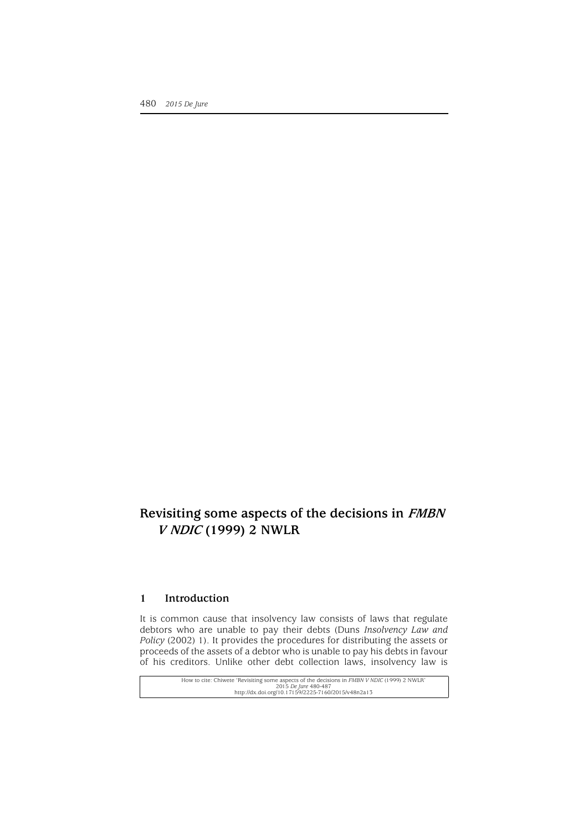# **Revisiting some aspects of the decisions in FMBN V NDIC (1999) 2 NWLR**

#### **1 Introduction**

It is common cause that insolvency law consists of laws that regulate debtors who are unable to pay their debts (Duns *Insolvency Law and Policy* (2002) 1). It provides the procedures for distributing the assets or proceeds of the assets of a debtor who is unable to pay his debts in favour of his creditors. Unlike other debt collection laws, insolvency law is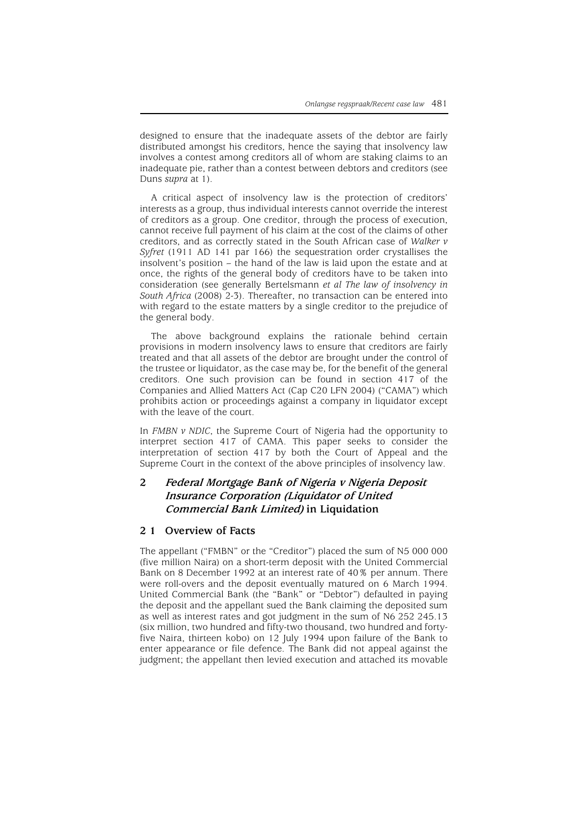designed to ensure that the inadequate assets of the debtor are fairly distributed amongst his creditors, hence the saying that insolvency law involves a contest among creditors all of whom are staking claims to an inadequate pie, rather than a contest between debtors and creditors (see Duns *supra* at 1).

A critical aspect of insolvency law is the protection of creditors' interests as a group, thus individual interests cannot override the interest of creditors as a group. One creditor, through the process of execution, cannot receive full payment of his claim at the cost of the claims of other creditors, and as correctly stated in the South African case of *Walker v Syfret* (1911 AD 141 par 166) the sequestration order crystallises the insolvent's position – the hand of the law is laid upon the estate and at once, the rights of the general body of creditors have to be taken into consideration (see generally Bertelsmann *et al The law of insolvency in South Africa* (2008) 2-3). Thereafter, no transaction can be entered into with regard to the estate matters by a single creditor to the prejudice of the general body.

The above background explains the rationale behind certain provisions in modern insolvency laws to ensure that creditors are fairly treated and that all assets of the debtor are brought under the control of the trustee or liquidator, as the case may be, for the benefit of the general creditors. One such provision can be found in section 417 of the Companies and Allied Matters Act (Cap C20 LFN 2004) ("CAMA") which prohibits action or proceedings against a company in liquidator except with the leave of the court.

In *FMBN v NDIC*, the Supreme Court of Nigeria had the opportunity to interpret section 417 of CAMA. This paper seeks to consider the interpretation of section 417 by both the Court of Appeal and the Supreme Court in the context of the above principles of insolvency law.

## **2 Federal Mortgage Bank of Nigeria v Nigeria Deposit Insurance Corporation (Liquidator of United Commercial Bank Limited) in Liquidation**

### **2 1 Overview of Facts**

The appellant ("FMBN" or the "Creditor") placed the sum of N5 000 000 (five million Naira) on a short-term deposit with the United Commercial Bank on 8 December 1992 at an interest rate of 40% per annum. There were roll-overs and the deposit eventually matured on 6 March 1994. United Commercial Bank (the "Bank" or "Debtor") defaulted in paying the deposit and the appellant sued the Bank claiming the deposited sum as well as interest rates and got judgment in the sum of N6 252 245.13 (six million, two hundred and fifty-two thousand, two hundred and fortyfive Naira, thirteen kobo) on 12 July 1994 upon failure of the Bank to enter appearance or file defence. The Bank did not appeal against the judgment; the appellant then levied execution and attached its movable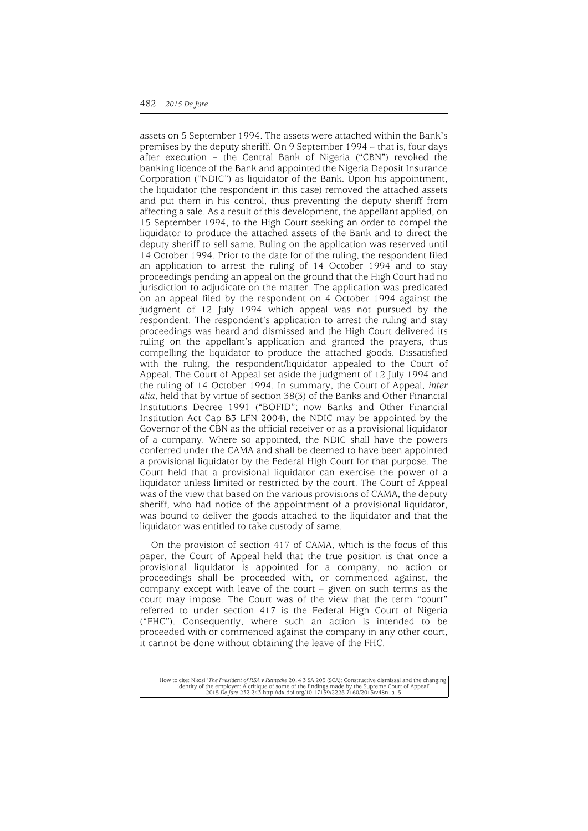assets on 5 September 1994. The assets were attached within the Bank's premises by the deputy sheriff. On 9 September 1994 – that is, four days after execution – the Central Bank of Nigeria ("CBN") revoked the banking licence of the Bank and appointed the Nigeria Deposit Insurance Corporation ("NDIC") as liquidator of the Bank. Upon his appointment, the liquidator (the respondent in this case) removed the attached assets and put them in his control, thus preventing the deputy sheriff from affecting a sale. As a result of this development, the appellant applied, on 15 September 1994, to the High Court seeking an order to compel the liquidator to produce the attached assets of the Bank and to direct the deputy sheriff to sell same. Ruling on the application was reserved until 14 October 1994. Prior to the date for of the ruling, the respondent filed an application to arrest the ruling of 14 October 1994 and to stay proceedings pending an appeal on the ground that the High Court had no jurisdiction to adjudicate on the matter. The application was predicated on an appeal filed by the respondent on 4 October 1994 against the judgment of 12 July 1994 which appeal was not pursued by the respondent. The respondent's application to arrest the ruling and stay proceedings was heard and dismissed and the High Court delivered its ruling on the appellant's application and granted the prayers, thus compelling the liquidator to produce the attached goods. Dissatisfied with the ruling, the respondent/liquidator appealed to the Court of Appeal. The Court of Appeal set aside the judgment of 12 July 1994 and the ruling of 14 October 1994. In summary, the Court of Appeal, *inter alia*, held that by virtue of section 38(3) of the Banks and Other Financial Institutions Decree 1991 ("BOFID"; now Banks and Other Financial Institution Act Cap B3 LFN 2004), the NDIC may be appointed by the Governor of the CBN as the official receiver or as a provisional liquidator of a company. Where so appointed, the NDIC shall have the powers conferred under the CAMA and shall be deemed to have been appointed a provisional liquidator by the Federal High Court for that purpose. The Court held that a provisional liquidator can exercise the power of a liquidator unless limited or restricted by the court. The Court of Appeal was of the view that based on the various provisions of CAMA, the deputy sheriff, who had notice of the appointment of a provisional liquidator, was bound to deliver the goods attached to the liquidator and that the liquidator was entitled to take custody of same.

On the provision of section 417 of CAMA, which is the focus of this paper, the Court of Appeal held that the true position is that once a provisional liquidator is appointed for a company, no action or proceedings shall be proceeded with, or commenced against, the company except with leave of the court – given on such terms as the court may impose. The Court was of the view that the term "court" referred to under section 417 is the Federal High Court of Nigeria ("FHC"). Consequently, where such an action is intended to be proceeded with or commenced against the company in any other court, it cannot be done without obtaining the leave of the FHC.

How to cite: Nkosi '*The President of RSA v Reinecke* 2014 3 SA 205 (SCA): Constructive dismissal and the changing<br>identity of the employer: A critique of some of the findings made by the Supreme Court of Appeal'<br>2015 *De*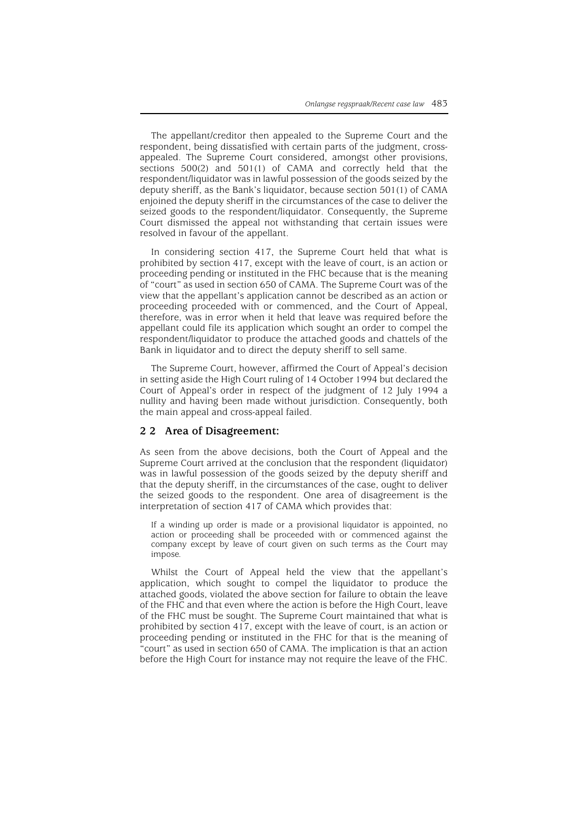The appellant/creditor then appealed to the Supreme Court and the respondent, being dissatisfied with certain parts of the judgment, crossappealed. The Supreme Court considered, amongst other provisions, sections 500(2) and 501(1) of CAMA and correctly held that the respondent/liquidator was in lawful possession of the goods seized by the deputy sheriff, as the Bank's liquidator, because section 501(1) of CAMA enjoined the deputy sheriff in the circumstances of the case to deliver the seized goods to the respondent/liquidator. Consequently, the Supreme Court dismissed the appeal not withstanding that certain issues were resolved in favour of the appellant.

In considering section 417, the Supreme Court held that what is prohibited by section 417, except with the leave of court, is an action or proceeding pending or instituted in the FHC because that is the meaning of "court" as used in section 650 of CAMA. The Supreme Court was of the view that the appellant's application cannot be described as an action or proceeding proceeded with or commenced, and the Court of Appeal, therefore, was in error when it held that leave was required before the appellant could file its application which sought an order to compel the respondent/liquidator to produce the attached goods and chattels of the Bank in liquidator and to direct the deputy sheriff to sell same.

The Supreme Court, however, affirmed the Court of Appeal's decision in setting aside the High Court ruling of 14 October 1994 but declared the Court of Appeal's order in respect of the judgment of 12 July 1994 a nullity and having been made without jurisdiction. Consequently, both the main appeal and cross-appeal failed.

#### **2 2 Area of Disagreement:**

As seen from the above decisions, both the Court of Appeal and the Supreme Court arrived at the conclusion that the respondent (liquidator) was in lawful possession of the goods seized by the deputy sheriff and that the deputy sheriff, in the circumstances of the case, ought to deliver the seized goods to the respondent. One area of disagreement is the interpretation of section 417 of CAMA which provides that:

If a winding up order is made or a provisional liquidator is appointed, no action or proceeding shall be proceeded with or commenced against the company except by leave of court given on such terms as the Court may impose.

Whilst the Court of Appeal held the view that the appellant's application, which sought to compel the liquidator to produce the attached goods, violated the above section for failure to obtain the leave of the FHC and that even where the action is before the High Court, leave of the FHC must be sought. The Supreme Court maintained that what is prohibited by section 417, except with the leave of court, is an action or proceeding pending or instituted in the FHC for that is the meaning of "court" as used in section 650 of CAMA. The implication is that an action before the High Court for instance may not require the leave of the FHC.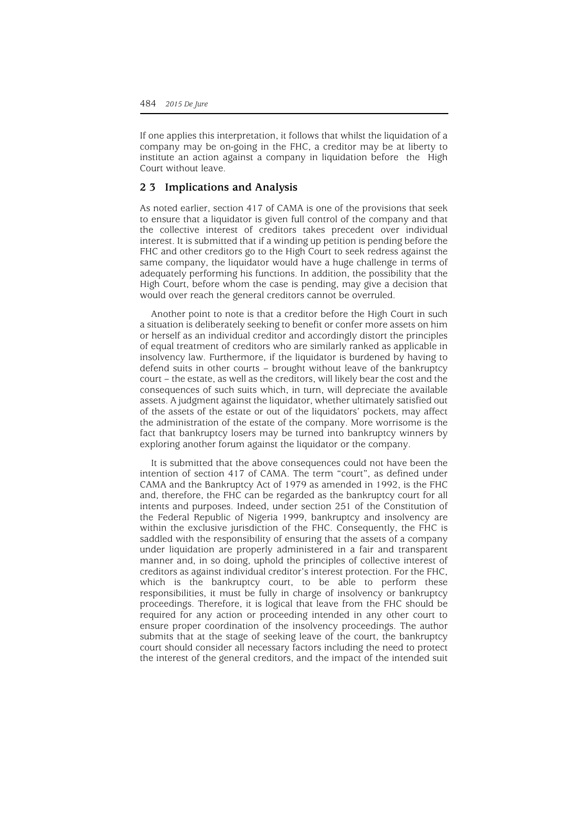If one applies this interpretation, it follows that whilst the liquidation of a company may be on-going in the FHC, a creditor may be at liberty to institute an action against a company in liquidation before the High Court without leave.

#### **2 3 Implications and Analysis**

As noted earlier, section 417 of CAMA is one of the provisions that seek to ensure that a liquidator is given full control of the company and that the collective interest of creditors takes precedent over individual interest. It is submitted that if a winding up petition is pending before the FHC and other creditors go to the High Court to seek redress against the same company, the liquidator would have a huge challenge in terms of adequately performing his functions. In addition, the possibility that the High Court, before whom the case is pending, may give a decision that would over reach the general creditors cannot be overruled.

Another point to note is that a creditor before the High Court in such a situation is deliberately seeking to benefit or confer more assets on him or herself as an individual creditor and accordingly distort the principles of equal treatment of creditors who are similarly ranked as applicable in insolvency law. Furthermore, if the liquidator is burdened by having to defend suits in other courts – brought without leave of the bankruptcy court – the estate, as well as the creditors, will likely bear the cost and the consequences of such suits which, in turn, will depreciate the available assets. A judgment against the liquidator, whether ultimately satisfied out of the assets of the estate or out of the liquidators' pockets, may affect the administration of the estate of the company. More worrisome is the fact that bankruptcy losers may be turned into bankruptcy winners by exploring another forum against the liquidator or the company.

It is submitted that the above consequences could not have been the intention of section 417 of CAMA. The term "court", as defined under CAMA and the Bankruptcy Act of 1979 as amended in 1992, is the FHC and, therefore, the FHC can be regarded as the bankruptcy court for all intents and purposes. Indeed, under section 251 of the Constitution of the Federal Republic of Nigeria 1999, bankruptcy and insolvency are within the exclusive jurisdiction of the FHC. Consequently, the FHC is saddled with the responsibility of ensuring that the assets of a company under liquidation are properly administered in a fair and transparent manner and, in so doing, uphold the principles of collective interest of creditors as against individual creditor's interest protection. For the FHC, which is the bankruptcy court, to be able to perform these responsibilities, it must be fully in charge of insolvency or bankruptcy proceedings. Therefore, it is logical that leave from the FHC should be required for any action or proceeding intended in any other court to ensure proper coordination of the insolvency proceedings. The author submits that at the stage of seeking leave of the court, the bankruptcy court should consider all necessary factors including the need to protect the interest of the general creditors, and the impact of the intended suit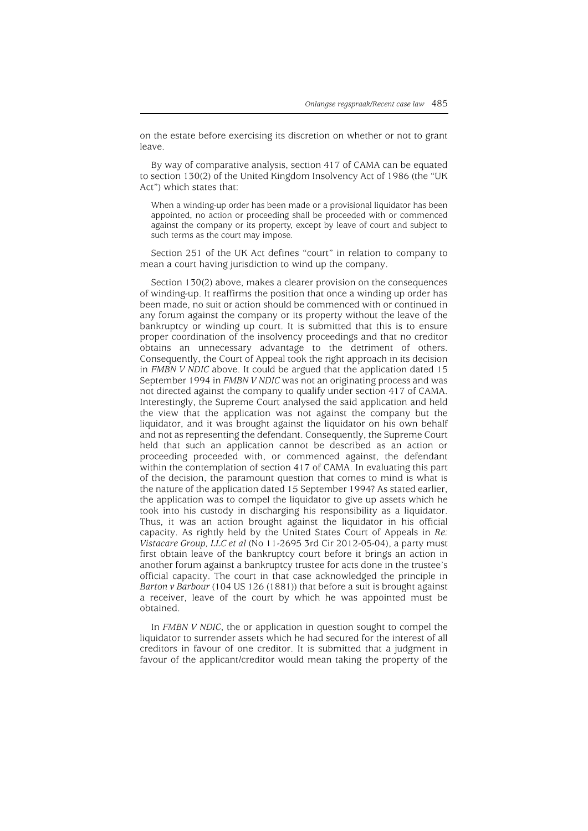on the estate before exercising its discretion on whether or not to grant leave.

By way of comparative analysis, section 417 of CAMA can be equated to section 130(2) of the United Kingdom Insolvency Act of 1986 (the "UK Act") which states that:

When a winding-up order has been made or a provisional liquidator has been appointed, no action or proceeding shall be proceeded with or commenced against the company or its property, except by leave of court and subject to such terms as the court may impose.

Section 251 of the UK Act defines "court" in relation to company to mean a court having jurisdiction to wind up the company.

Section 130(2) above, makes a clearer provision on the consequences of winding-up. It reaffirms the position that once a winding up order has been made, no suit or action should be commenced with or continued in any forum against the company or its property without the leave of the bankruptcy or winding up court. It is submitted that this is to ensure proper coordination of the insolvency proceedings and that no creditor obtains an unnecessary advantage to the detriment of others. Consequently, the Court of Appeal took the right approach in its decision in *FMBN V NDIC* above. It could be argued that the application dated 15 September 1994 in *FMBN V NDIC* was not an originating process and was not directed against the company to qualify under section 417 of CAMA. Interestingly, the Supreme Court analysed the said application and held the view that the application was not against the company but the liquidator, and it was brought against the liquidator on his own behalf and not as representing the defendant. Consequently, the Supreme Court held that such an application cannot be described as an action or proceeding proceeded with, or commenced against, the defendant within the contemplation of section 417 of CAMA. In evaluating this part of the decision, the paramount question that comes to mind is what is the nature of the application dated 15 September 1994? As stated earlier, the application was to compel the liquidator to give up assets which he took into his custody in discharging his responsibility as a liquidator. Thus, it was an action brought against the liquidator in his official capacity. As rightly held by the United States Court of Appeals in *Re: Vistacare Group, LLC et al* (No 11-2695 3rd Cir 2012-05-04), a party must first obtain leave of the bankruptcy court before it brings an action in another forum against a bankruptcy trustee for acts done in the trustee's official capacity. The court in that case acknowledged the principle in *Barton v Barbour* (104 US 126 (1881)) that before a suit is brought against a receiver, leave of the court by which he was appointed must be obtained.

In *FMBN V NDIC*, the or application in question sought to compel the liquidator to surrender assets which he had secured for the interest of all creditors in favour of one creditor. It is submitted that a judgment in favour of the applicant/creditor would mean taking the property of the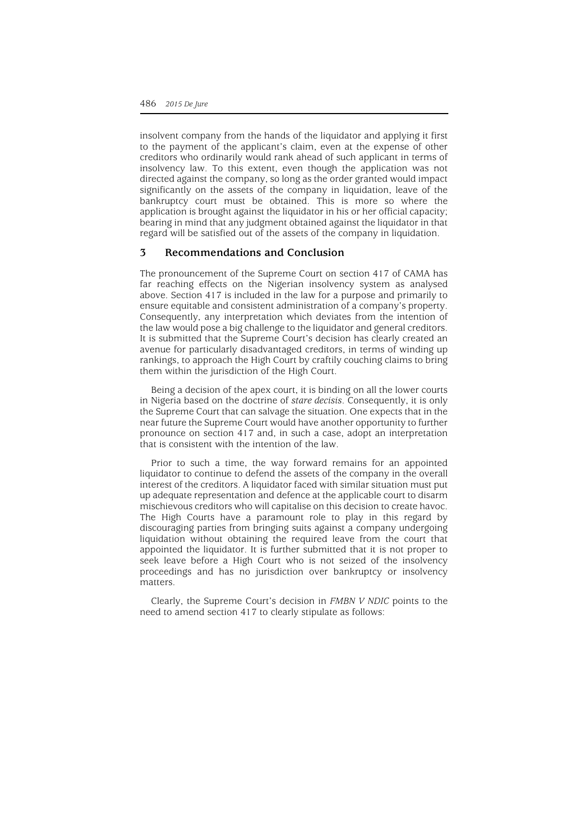insolvent company from the hands of the liquidator and applying it first to the payment of the applicant's claim, even at the expense of other creditors who ordinarily would rank ahead of such applicant in terms of insolvency law. To this extent, even though the application was not directed against the company, so long as the order granted would impact significantly on the assets of the company in liquidation, leave of the bankruptcy court must be obtained. This is more so where the application is brought against the liquidator in his or her official capacity; bearing in mind that any judgment obtained against the liquidator in that regard will be satisfied out of the assets of the company in liquidation.

#### **3 Recommendations and Conclusion**

The pronouncement of the Supreme Court on section 417 of CAMA has far reaching effects on the Nigerian insolvency system as analysed above. Section 417 is included in the law for a purpose and primarily to ensure equitable and consistent administration of a company's property. Consequently, any interpretation which deviates from the intention of the law would pose a big challenge to the liquidator and general creditors. It is submitted that the Supreme Court's decision has clearly created an avenue for particularly disadvantaged creditors, in terms of winding up rankings, to approach the High Court by craftily couching claims to bring them within the jurisdiction of the High Court.

Being a decision of the apex court, it is binding on all the lower courts in Nigeria based on the doctrine of *stare decisis*. Consequently, it is only the Supreme Court that can salvage the situation. One expects that in the near future the Supreme Court would have another opportunity to further pronounce on section 417 and, in such a case, adopt an interpretation that is consistent with the intention of the law.

Prior to such a time, the way forward remains for an appointed liquidator to continue to defend the assets of the company in the overall interest of the creditors. A liquidator faced with similar situation must put up adequate representation and defence at the applicable court to disarm mischievous creditors who will capitalise on this decision to create havoc. The High Courts have a paramount role to play in this regard by discouraging parties from bringing suits against a company undergoing liquidation without obtaining the required leave from the court that appointed the liquidator. It is further submitted that it is not proper to seek leave before a High Court who is not seized of the insolvency proceedings and has no jurisdiction over bankruptcy or insolvency matters.

Clearly, the Supreme Court's decision in *FMBN V NDIC* points to the need to amend section 417 to clearly stipulate as follows: